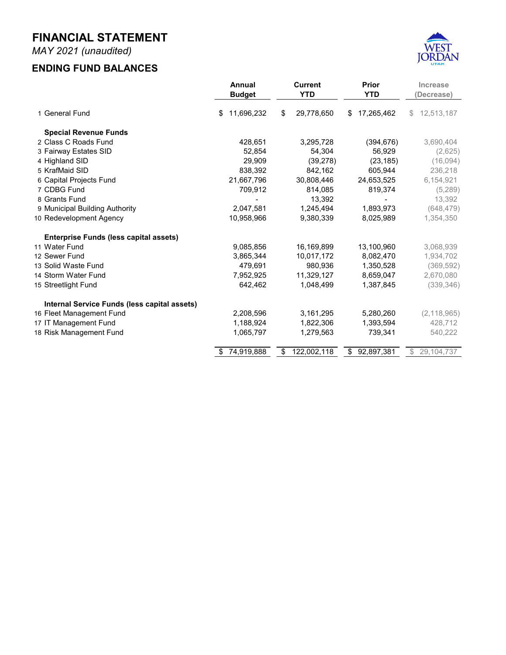## **JULY 2020 - MAY 2021 MONTHLY FINANCIAL REPORT FOR THE FISCAL YEAR 2020-2021**



**Prepared by Danyce Steck, CPFO Administrative Services Director**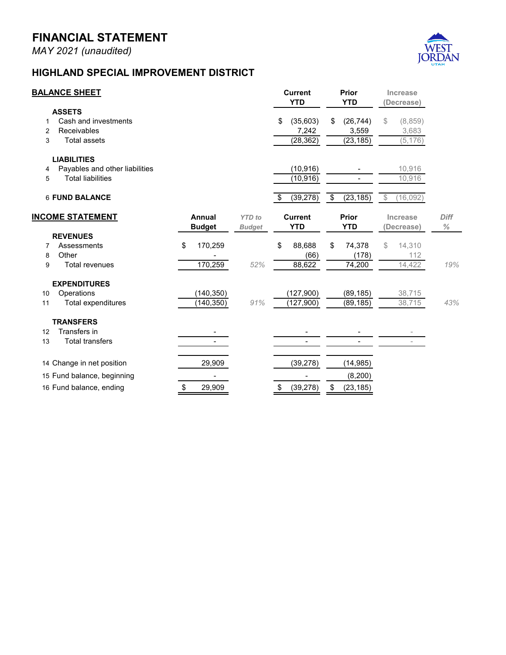## **FINANCIAL STATEMENT**

*MAY 2021 (unaudited)*

## **FAIRWAY ESTATES**



| <b>BALANCE SHEET</b>      |                                |    |                         |                                | <b>Current</b><br><b>YTD</b> |           | Prior<br><b>YTD</b> |           | <b>Increase</b><br>(Decrease) |         |                     |
|---------------------------|--------------------------------|----|-------------------------|--------------------------------|------------------------------|-----------|---------------------|-----------|-------------------------------|---------|---------------------|
|                           | <b>ASSETS</b>                  |    |                         |                                |                              |           |                     |           |                               |         |                     |
| 1                         | Cash and investments           |    |                         |                                | \$                           | 55,090    | \$                  | 56,929    | \$                            | (1,840) |                     |
| 2                         | Receivables                    |    |                         |                                |                              | (0)       |                     |           |                               | (0)     |                     |
| 3                         | <b>Total assets</b>            |    |                         |                                |                              | 55,089    |                     | 56,929    |                               | (1,840) |                     |
|                           | <b>LIABILITIES</b>             |    |                         |                                |                              |           |                     |           |                               |         |                     |
| 4                         | Payables and other liabilities |    |                         |                                |                              | (785)     |                     |           |                               | 785     |                     |
| 5                         | <b>Total liabilities</b>       |    |                         |                                |                              | (785)     |                     |           |                               | 785     |                     |
|                           | <b>6 FUND BALANCE</b>          |    |                         |                                |                              | 54,304    | \$                  | 56,929    | \$                            | (2,625) |                     |
| <b>INCOME STATEMENT</b>   |                                |    | Annual<br><b>Budget</b> | <b>YTD</b> to<br><b>Budget</b> | <b>Current</b><br><b>YTD</b> |           | Prior<br><b>YTD</b> |           | Increase<br>Decrease)         |         | <b>Diff</b><br>$\%$ |
|                           | <b>REVENUES</b>                |    |                         |                                |                              |           |                     |           |                               |         |                     |
| 7                         | Property tax                   | \$ | 10,831                  |                                | \$                           | 10,889    | \$                  | 10,900    | \$                            | (11)    |                     |
| 8                         | Other                          |    | 10                      |                                |                              | 249       |                     | 982       |                               | (734)   |                     |
| 9                         | <b>Total revenues</b>          |    | 10,841                  | 103%                           |                              | 11,137    |                     | 11,882    |                               | (745)   | -6%                 |
|                           | <b>EXPENDITURES</b>            |    |                         |                                |                              |           |                     |           |                               |         |                     |
| 10                        | Operations                     |    | (12, 500)               |                                |                              | (11, 346) |                     | (10, 342) |                               | 1,004   |                     |
| 11                        | Total expenditures             |    | (12, 500)               | 91%                            |                              | (11, 346) |                     | (10, 342) |                               | 1,004   | 10%                 |
|                           |                                |    |                         |                                |                              |           |                     |           |                               |         |                     |
| 12 Change in net position |                                |    | (1,659)                 |                                |                              | (209)     |                     | 1,540     |                               |         |                     |
|                           | 13 Fund balance, beginning     |    | 54,513                  |                                |                              | 54,513    |                     | 55,389    |                               |         |                     |
|                           | 14 Fund balance, ending        |    | 52,854                  |                                |                              | 54,304    | \$                  | 56,929    |                               |         |                     |
|                           |                                |    |                         |                                |                              |           |                     |           |                               |         |                     |